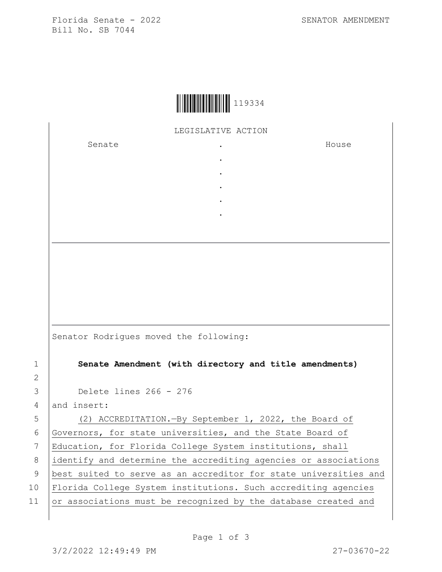Florida Senate - 2022 SENATOR AMENDMENT Bill No. SB 7044

## LEGISLATIVE ACTION

. . . . .

Senate the senate of the senate  $\cdot$ 

House

Senator Rodrigues moved the following:

1 **Senate Amendment (with directory and title amendments)**

3 Delete lines 266 - 276

 $4$  and insert:

5 (2) ACCREDITATION.—By September 1, 2022, the Board of

6 Governors, for state universities, and the State Board of

7 Education, for Florida College System institutions, shall 8 identify and determine the accrediting agencies or associations

2

9 | best suited to serve as an accreditor for state universities and

- 10 Florida College System institutions. Such accrediting agencies
- 11  $\sigma$  associations must be recognized by the database created and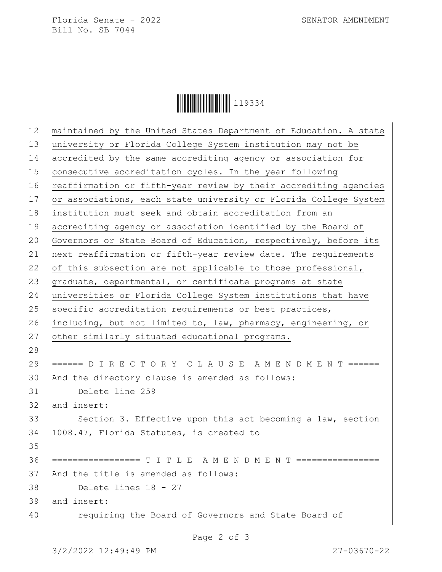Florida Senate - 2022 SENATOR AMENDMENT Bill No. SB 7044

|--|

| 12 | maintained by the United States Department of Education. A state |
|----|------------------------------------------------------------------|
| 13 | university or Florida College System institution may not be      |
| 14 | accredited by the same accrediting agency or association for     |
| 15 | consecutive accreditation cycles. In the year following          |
| 16 | reaffirmation or fifth-year review by their accrediting agencies |
| 17 | or associations, each state university or Florida College System |
| 18 | institution must seek and obtain accreditation from an           |
| 19 | accrediting agency or association identified by the Board of     |
| 20 | Governors or State Board of Education, respectively, before its  |
| 21 | next reaffirmation or fifth-year review date. The requirements   |
| 22 | of this subsection are not applicable to those professional,     |
| 23 | graduate, departmental, or certificate programs at state         |
| 24 | universities or Florida College System institutions that have    |
| 25 | specific accreditation requirements or best practices,           |
| 26 | including, but not limited to, law, pharmacy, engineering, or    |
| 27 | other similarly situated educational programs.                   |
| 28 |                                                                  |
| 29 | ====== D I R E C T O R Y C L A U S E A M E N D M E N T ======    |
| 30 | And the directory clause is amended as follows:                  |
| 31 | Delete line 259                                                  |
| 32 | and insert:                                                      |
| 33 | Section 3. Effective upon this act becoming a law, section       |
| 34 | 1008.47, Florida Statutes, is created to                         |
| 35 |                                                                  |
| 36 | ================= T I T L E A M E N D M E N T ================   |
| 37 | And the title is amended as follows:                             |
| 38 | Delete lines 18 - 27                                             |
| 39 | and insert:                                                      |
| 40 | requiring the Board of Governors and State Board of              |
|    |                                                                  |